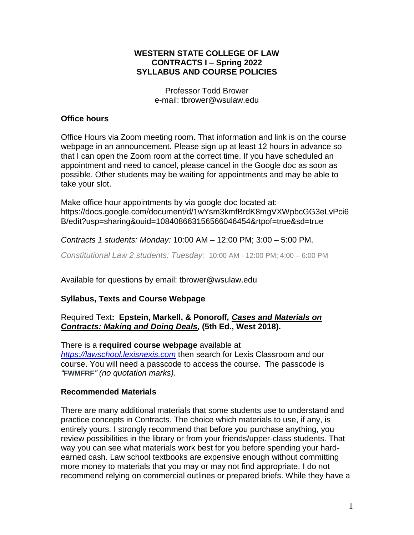## **WESTERN STATE COLLEGE OF LAW CONTRACTS I – Spring 2022 SYLLABUS AND COURSE POLICIES**

Professor Todd Brower e-mail: tbrower@wsulaw.edu

## **Office hours**

Office Hours via Zoom meeting room. That information and link is on the course webpage in an announcement. Please sign up at least 12 hours in advance so that I can open the Zoom room at the correct time. If you have scheduled an appointment and need to cancel, please cancel in the Google doc as soon as possible. Other students may be waiting for appointments and may be able to take your slot.

Make office hour appointments by via google doc located at: https://docs.google.com/document/d/1wYsm3kmfBrdK8mgVXWpbcGG3eLvPci6 B/edit?usp=sharing&ouid=108408663156566046454&rtpof=true&sd=true

*Contracts 1 students: Monday:* 10:00 AM – 12:00 PM; 3:00 – 5:00 PM.

*Constitutional Law 2 students: Tuesday:* 10:00 AM - 12:00 PM; 4:00 – 6:00 PM

Available for questions by email: tbrower@wsulaw.edu

# **Syllabus, Texts and Course Webpage**

## Required Text**: Epstein, Markell, & Ponoroff***, Cases and Materials on Contracts: Making and Doing Deals,* **(5th Ed., West 2018).**

There is a **required course webpage** available at *[https://lawschool.lexisnexis.com](https://lawschool.lexisnexis.com/)* then search for Lexis Classroom and our course. You will need a passcode to access the course. The passcode is *"***FWMFRF***" (no quotation marks).*

# **Recommended Materials**

There are many additional materials that some students use to understand and practice concepts in Contracts. The choice which materials to use, if any, is entirely yours. I strongly recommend that before you purchase anything, you review possibilities in the library or from your friends/upper-class students. That way you can see what materials work best for you before spending your hardearned cash. Law school textbooks are expensive enough without committing more money to materials that you may or may not find appropriate. I do not recommend relying on commercial outlines or prepared briefs. While they have a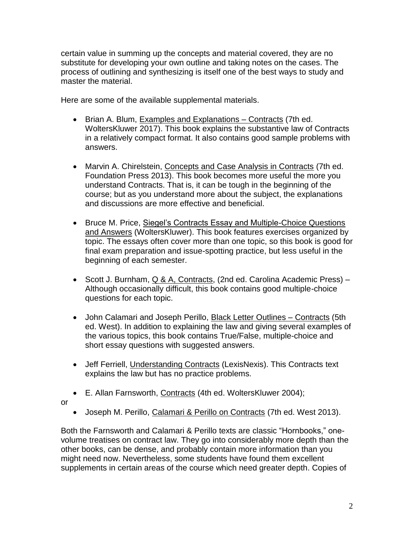certain value in summing up the concepts and material covered, they are no substitute for developing your own outline and taking notes on the cases. The process of outlining and synthesizing is itself one of the best ways to study and master the material.

Here are some of the available supplemental materials.

- Brian A. Blum, Examples and Explanations Contracts (7th ed. WoltersKluwer 2017). This book explains the substantive law of Contracts in a relatively compact format. It also contains good sample problems with answers.
- Marvin A. Chirelstein, Concepts and Case Analysis in Contracts (7th ed. Foundation Press 2013). This book becomes more useful the more you understand Contracts. That is, it can be tough in the beginning of the course; but as you understand more about the subject, the explanations and discussions are more effective and beneficial.
- Bruce M. Price, Siegel's Contracts Essay and Multiple-Choice Questions and Answers (WoltersKluwer). This book features exercises organized by topic. The essays often cover more than one topic, so this book is good for final exam preparation and issue-spotting practice, but less useful in the beginning of each semester.
- Scott J. Burnham, Q & A, Contracts, (2nd ed. Carolina Academic Press) Although occasionally difficult, this book contains good multiple-choice questions for each topic.
- John Calamari and Joseph Perillo, Black Letter Outlines Contracts (5th ed. West). In addition to explaining the law and giving several examples of the various topics, this book contains True/False, multiple-choice and short essay questions with suggested answers.
- Jeff Ferriell, Understanding Contracts (LexisNexis). This Contracts text explains the law but has no practice problems.
- E. Allan Farnsworth, Contracts (4th ed. WoltersKluwer 2004);
- or
- Joseph M. Perillo, Calamari & Perillo on Contracts (7th ed. West 2013).

Both the Farnsworth and Calamari & Perillo texts are classic "Hornbooks," onevolume treatises on contract law. They go into considerably more depth than the other books, can be dense, and probably contain more information than you might need now. Nevertheless, some students have found them excellent supplements in certain areas of the course which need greater depth. Copies of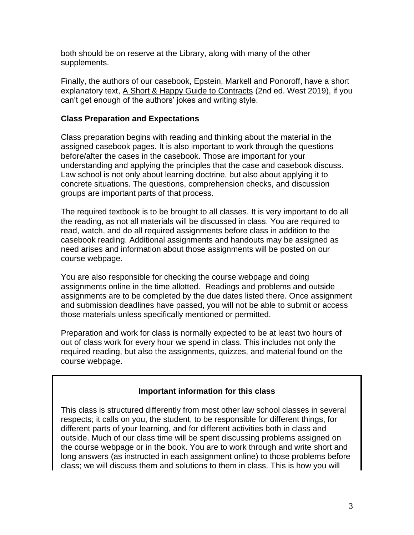both should be on reserve at the Library, along with many of the other supplements.

Finally, the authors of our casebook, Epstein, Markell and Ponoroff, have a short explanatory text, A Short & Happy Guide to Contracts (2nd ed. West 2019), if you can't get enough of the authors' jokes and writing style.

## **Class Preparation and Expectations**

Class preparation begins with reading and thinking about the material in the assigned casebook pages. It is also important to work through the questions before/after the cases in the casebook. Those are important for your understanding and applying the principles that the case and casebook discuss. Law school is not only about learning doctrine, but also about applying it to concrete situations. The questions, comprehension checks, and discussion groups are important parts of that process.

The required textbook is to be brought to all classes. It is very important to do all the reading, as not all materials will be discussed in class. You are required to read, watch, and do all required assignments before class in addition to the casebook reading. Additional assignments and handouts may be assigned as need arises and information about those assignments will be posted on our course webpage.

You are also responsible for checking the course webpage and doing assignments online in the time allotted. Readings and problems and outside assignments are to be completed by the due dates listed there. Once assignment and submission deadlines have passed, you will not be able to submit or access those materials unless specifically mentioned or permitted.

Preparation and work for class is normally expected to be at least two hours of out of class work for every hour we spend in class. This includes not only the required reading, but also the assignments, quizzes, and material found on the course webpage.

# **Important information for this class**

This class is structured differently from most other law school classes in several respects; it calls on you, the student, to be responsible for different things, for different parts of your learning, and for different activities both in class and outside. Much of our class time will be spent discussing problems assigned on the course webpage or in the book. You are to work through and write short and long answers (as instructed in each assignment online) to those problems before class; we will discuss them and solutions to them in class. This is how you will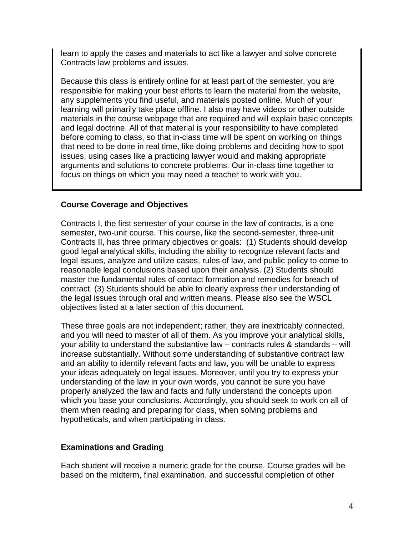learn to apply the cases and materials to act like a lawyer and solve concrete Contracts law problems and issues.

Because this class is entirely online for at least part of the semester, you are responsible for making your best efforts to learn the material from the website, any supplements you find useful, and materials posted online. Much of your learning will primarily take place offline. I also may have videos or other outside materials in the course webpage that are required and will explain basic concepts and legal doctrine. All of that material is your responsibility to have completed before coming to class, so that in-class time will be spent on working on things that need to be done in real time, like doing problems and deciding how to spot issues, using cases like a practicing lawyer would and making appropriate arguments and solutions to concrete problems. Our in-class time together to focus on things on which you may need a teacher to work with you.

## **Course Coverage and Objectives**

Contracts I, the first semester of your course in the law of contracts, is a one semester, two-unit course. This course, like the second-semester, three-unit Contracts II, has three primary objectives or goals: (1) Students should develop good legal analytical skills, including the ability to recognize relevant facts and legal issues, analyze and utilize cases, rules of law, and public policy to come to reasonable legal conclusions based upon their analysis. (2) Students should master the fundamental rules of contact formation and remedies for breach of contract. (3) Students should be able to clearly express their understanding of the legal issues through oral and written means. Please also see the WSCL objectives listed at a later section of this document.

These three goals are not independent; rather, they are inextricably connected, and you will need to master of all of them. As you improve your analytical skills, your ability to understand the substantive law – contracts rules & standards – will increase substantially. Without some understanding of substantive contract law and an ability to identify relevant facts and law, you will be unable to express your ideas adequately on legal issues. Moreover, until you try to express your understanding of the law in your own words, you cannot be sure you have properly analyzed the law and facts and fully understand the concepts upon which you base your conclusions. Accordingly, you should seek to work on all of them when reading and preparing for class, when solving problems and hypotheticals, and when participating in class.

# **Examinations and Grading**

Each student will receive a numeric grade for the course. Course grades will be based on the midterm, final examination, and successful completion of other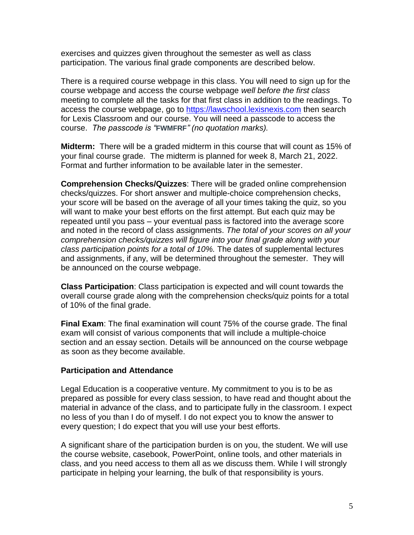exercises and quizzes given throughout the semester as well as class participation. The various final grade components are described below.

There is a required course webpage in this class. You will need to sign up for the course webpage and access the course webpage *well before the first class* meeting to complete all the tasks for that first class in addition to the readings. To access the course webpage, go to [https://lawschool.lexisnexis.com](https://lawschool.lexisnexis.com/) then search for Lexis Classroom and our course. You will need a passcode to access the course. *The passcode is "***FWMFRF***" (no quotation marks).*

**Midterm:** There will be a graded midterm in this course that will count as 15% of your final course grade. The midterm is planned for week 8, March 21, 2022. Format and further information to be available later in the semester.

**Comprehension Checks/Quizzes**: There will be graded online comprehension checks/quizzes. For short answer and multiple-choice comprehension checks, your score will be based on the average of all your times taking the quiz, so you will want to make your best efforts on the first attempt. But each quiz may be repeated until you pass – your eventual pass is factored into the average score and noted in the record of class assignments. *The total of your scores on all your comprehension checks/quizzes will figure into your final grade along with your class participation points for a total of 10%.* The dates of supplemental lectures and assignments, if any, will be determined throughout the semester. They will be announced on the course webpage.

**Class Participation**: Class participation is expected and will count towards the overall course grade along with the comprehension checks/quiz points for a total of 10% of the final grade.

**Final Exam**: The final examination will count 75% of the course grade. The final exam will consist of various components that will include a multiple-choice section and an essay section. Details will be announced on the course webpage as soon as they become available.

## **Participation and Attendance**

Legal Education is a cooperative venture. My commitment to you is to be as prepared as possible for every class session, to have read and thought about the material in advance of the class, and to participate fully in the classroom. I expect no less of you than I do of myself. I do not expect you to know the answer to every question; I do expect that you will use your best efforts.

A significant share of the participation burden is on you, the student. We will use the course website, casebook, PowerPoint, online tools, and other materials in class, and you need access to them all as we discuss them. While I will strongly participate in helping your learning, the bulk of that responsibility is yours.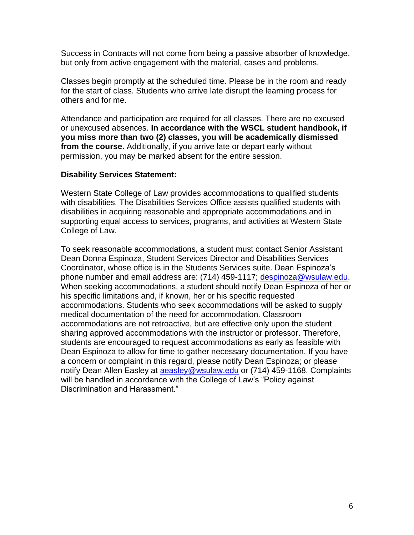Success in Contracts will not come from being a passive absorber of knowledge, but only from active engagement with the material, cases and problems.

Classes begin promptly at the scheduled time. Please be in the room and ready for the start of class. Students who arrive late disrupt the learning process for others and for me.

Attendance and participation are required for all classes. There are no excused or unexcused absences. **In accordance with the WSCL student handbook, if you miss more than two (2) classes, you will be academically dismissed from the course.** Additionally, if you arrive late or depart early without permission, you may be marked absent for the entire session.

#### **Disability Services Statement:**

Western State College of Law provides accommodations to qualified students with disabilities. The Disabilities Services Office assists qualified students with disabilities in acquiring reasonable and appropriate accommodations and in supporting equal access to services, programs, and activities at Western State College of Law.

To seek reasonable accommodations, a student must contact Senior Assistant Dean Donna Espinoza, Student Services Director and Disabilities Services Coordinator, whose office is in the Students Services suite. Dean Espinoza's phone number and email address are: (714) 459-1117; [despinoza@wsulaw.edu.](mailto:despinoza@wsulaw.edu) When seeking accommodations, a student should notify Dean Espinoza of her or his specific limitations and, if known, her or his specific requested accommodations. Students who seek accommodations will be asked to supply medical documentation of the need for accommodation. Classroom accommodations are not retroactive, but are effective only upon the student sharing approved accommodations with the instructor or professor. Therefore, students are encouraged to request accommodations as early as feasible with Dean Espinoza to allow for time to gather necessary documentation. If you have a concern or complaint in this regard, please notify Dean Espinoza; or please notify Dean Allen Easley at [aeasley@wsulaw.edu](mailto:aeasley@wsulaw.edu) or (714) 459-1168. Complaints will be handled in accordance with the College of Law's "Policy against Discrimination and Harassment."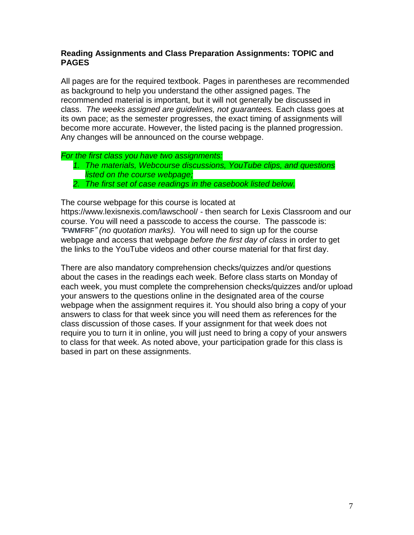## **Reading Assignments and Class Preparation Assignments: TOPIC and PAGES**

All pages are for the required textbook. Pages in parentheses are recommended as background to help you understand the other assigned pages. The recommended material is important, but it will not generally be discussed in class. *The weeks assigned are guidelines, not guarantees.* Each class goes at its own pace; as the semester progresses, the exact timing of assignments will become more accurate. However, the listed pacing is the planned progression. Any changes will be announced on the course webpage.

#### *For the first class you have two assignments:*

- *1. The materials, Webcourse discussions, YouTube clips, and questions listed on the course webpage;*
- *2. The first set of case readings in the casebook listed below.*

The course webpage for this course is located at

https://www.lexisnexis.com/lawschool/ - then search for Lexis Classroom and our course. You will need a passcode to access the course. The passcode is: *"***FWMFRF***" (no quotation marks).* You will need to sign up for the course webpage and access that webpage *before the first day of class* in order to get the links to the YouTube videos and other course material for that first day.

There are also mandatory comprehension checks/quizzes and/or questions about the cases in the readings each week. Before class starts on Monday of each week, you must complete the comprehension checks/quizzes and/or upload your answers to the questions online in the designated area of the course webpage when the assignment requires it. You should also bring a copy of your answers to class for that week since you will need them as references for the class discussion of those cases. If your assignment for that week does not require you to turn it in online, you will just need to bring a copy of your answers to class for that week. As noted above, your participation grade for this class is based in part on these assignments.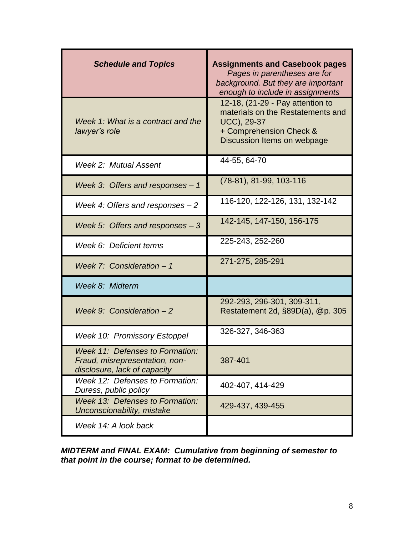| <b>Schedule and Topics</b>                                                                        | <b>Assignments and Casebook pages</b><br>Pages in parentheses are for<br>background. But they are important<br>enough to include in assignments |
|---------------------------------------------------------------------------------------------------|-------------------------------------------------------------------------------------------------------------------------------------------------|
| Week 1: What is a contract and the<br>lawyer's role                                               | 12-18, (21-29 - Pay attention to<br>materials on the Restatements and<br>UCC), 29-37<br>+ Comprehension Check &<br>Discussion Items on webpage  |
| Week 2: Mutual Assent                                                                             | 44-55, 64-70                                                                                                                                    |
| Week 3: Offers and responses $-1$                                                                 | $(78-81), 81-99, 103-116$                                                                                                                       |
| Week 4: Offers and responses $-2$                                                                 | 116-120, 122-126, 131, 132-142                                                                                                                  |
| Week 5: Offers and responses $-3$                                                                 | 142-145, 147-150, 156-175                                                                                                                       |
| Week 6: Deficient terms                                                                           | 225-243, 252-260                                                                                                                                |
| Week 7: Consideration - 1                                                                         | 271-275, 285-291                                                                                                                                |
| Week 8: Midterm                                                                                   |                                                                                                                                                 |
| Week 9: Consideration $-2$                                                                        | 292-293, 296-301, 309-311,<br>Restatement 2d, §89D(a), @p. 305                                                                                  |
| <b>Week 10: Promissory Estoppel</b>                                                               | 326-327, 346-363                                                                                                                                |
| Week 11: Defenses to Formation:<br>Fraud, misrepresentation, non-<br>disclosure, lack of capacity | 387-401                                                                                                                                         |
| Week 12: Defenses to Formation:<br>Duress, public policy                                          | 402-407, 414-429                                                                                                                                |
| <b>Week 13: Defenses to Formation:</b><br>Unconscionability, mistake                              | 429-437, 439-455                                                                                                                                |
| Week 14: A look back                                                                              |                                                                                                                                                 |

*MIDTERM and FINAL EXAM: Cumulative from beginning of semester to that point in the course; format to be determined.*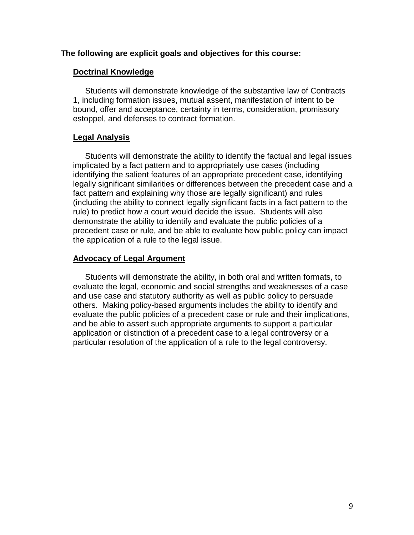#### **The following are explicit goals and objectives for this course:**

#### **Doctrinal Knowledge**

Students will demonstrate knowledge of the substantive law of Contracts 1, including formation issues, mutual assent, manifestation of intent to be bound, offer and acceptance, certainty in terms, consideration, promissory estoppel, and defenses to contract formation.

#### **Legal Analysis**

Students will demonstrate the ability to identify the factual and legal issues implicated by a fact pattern and to appropriately use cases (including identifying the salient features of an appropriate precedent case, identifying legally significant similarities or differences between the precedent case and a fact pattern and explaining why those are legally significant) and rules (including the ability to connect legally significant facts in a fact pattern to the rule) to predict how a court would decide the issue. Students will also demonstrate the ability to identify and evaluate the public policies of a precedent case or rule, and be able to evaluate how public policy can impact the application of a rule to the legal issue.

#### **Advocacy of Legal Argument**

Students will demonstrate the ability, in both oral and written formats, to evaluate the legal, economic and social strengths and weaknesses of a case and use case and statutory authority as well as public policy to persuade others. Making policy-based arguments includes the ability to identify and evaluate the public policies of a precedent case or rule and their implications, and be able to assert such appropriate arguments to support a particular application or distinction of a precedent case to a legal controversy or a particular resolution of the application of a rule to the legal controversy.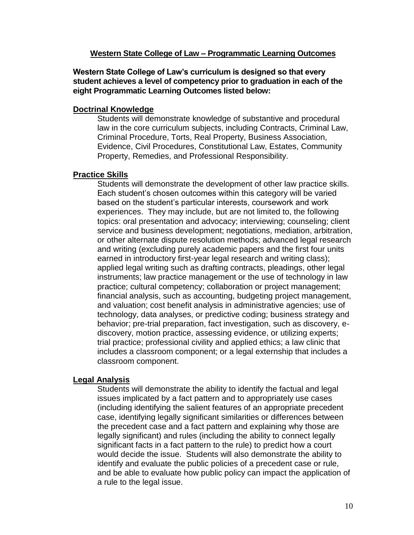#### **Western State College of Law – Programmatic Learning Outcomes**

**Western State College of Law's curriculum is designed so that every student achieves a level of competency prior to graduation in each of the eight Programmatic Learning Outcomes listed below:**

#### **Doctrinal Knowledge**

Students will demonstrate knowledge of substantive and procedural law in the core curriculum subjects, including Contracts, Criminal Law, Criminal Procedure, Torts, Real Property, Business Association, Evidence, Civil Procedures, Constitutional Law, Estates, Community Property, Remedies, and Professional Responsibility.

## **Practice Skills**

Students will demonstrate the development of other law practice skills. Each student's chosen outcomes within this category will be varied based on the student's particular interests, coursework and work experiences. They may include, but are not limited to, the following topics: oral presentation and advocacy; interviewing; counseling; client service and business development; negotiations, mediation, arbitration, or other alternate dispute resolution methods; advanced legal research and writing (excluding purely academic papers and the first four units earned in introductory first-year legal research and writing class); applied legal writing such as drafting contracts, pleadings, other legal instruments; law practice management or the use of technology in law practice; cultural competency; collaboration or project management; financial analysis, such as accounting, budgeting project management, and valuation; cost benefit analysis in administrative agencies; use of technology, data analyses, or predictive coding; business strategy and behavior; pre-trial preparation, fact investigation, such as discovery, ediscovery, motion practice, assessing evidence, or utilizing experts; trial practice; professional civility and applied ethics; a law clinic that includes a classroom component; or a legal externship that includes a classroom component.

## **Legal Analysis**

Students will demonstrate the ability to identify the factual and legal issues implicated by a fact pattern and to appropriately use cases (including identifying the salient features of an appropriate precedent case, identifying legally significant similarities or differences between the precedent case and a fact pattern and explaining why those are legally significant) and rules (including the ability to connect legally significant facts in a fact pattern to the rule) to predict how a court would decide the issue. Students will also demonstrate the ability to identify and evaluate the public policies of a precedent case or rule, and be able to evaluate how public policy can impact the application of a rule to the legal issue.